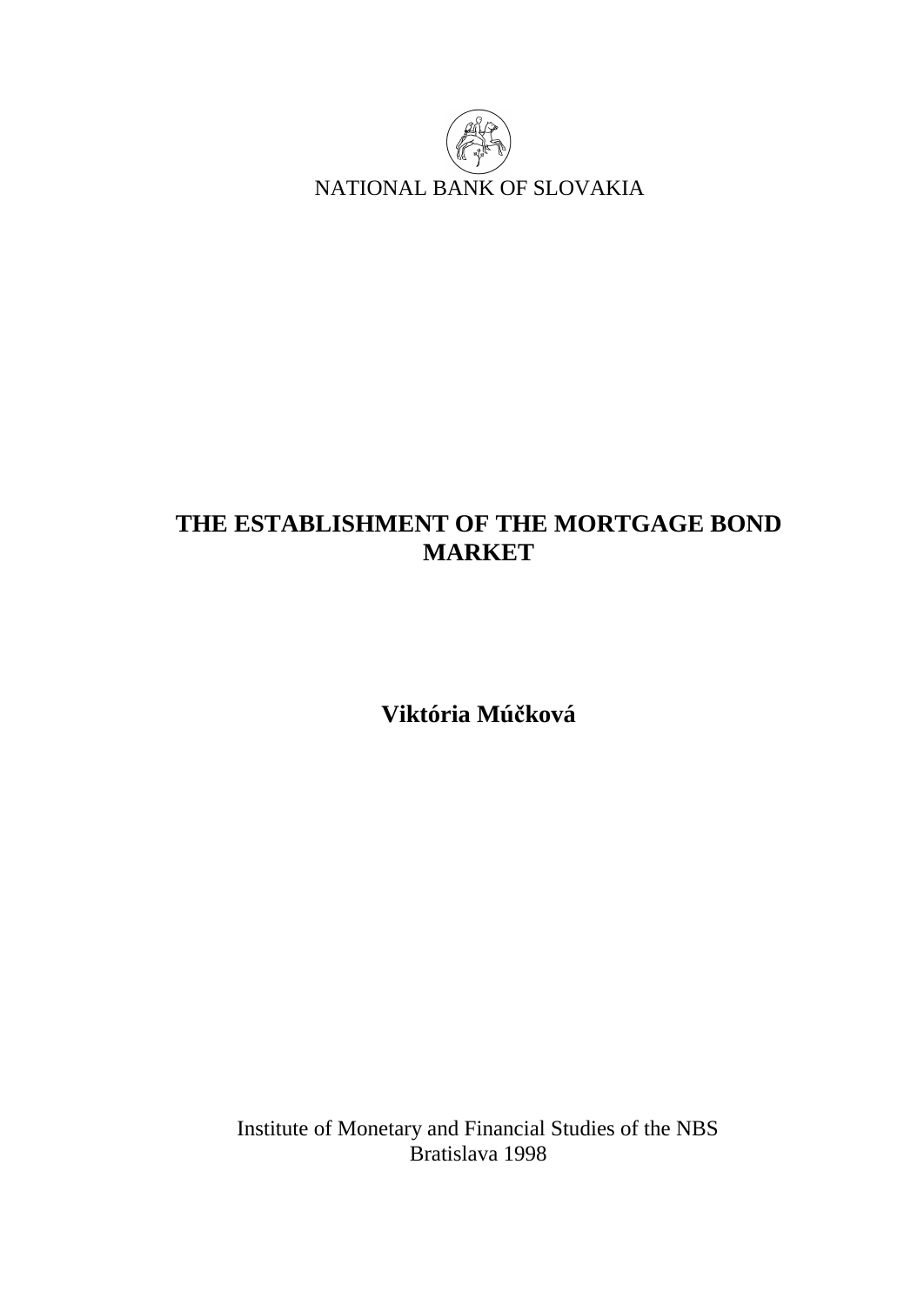

# **THE ESTABLISHMENT OF THE MORTGAGE BOND MARKET**

**Viktória Múčková** 

Institute of Monetary and Financial Studies of the NBS Bratislava 1998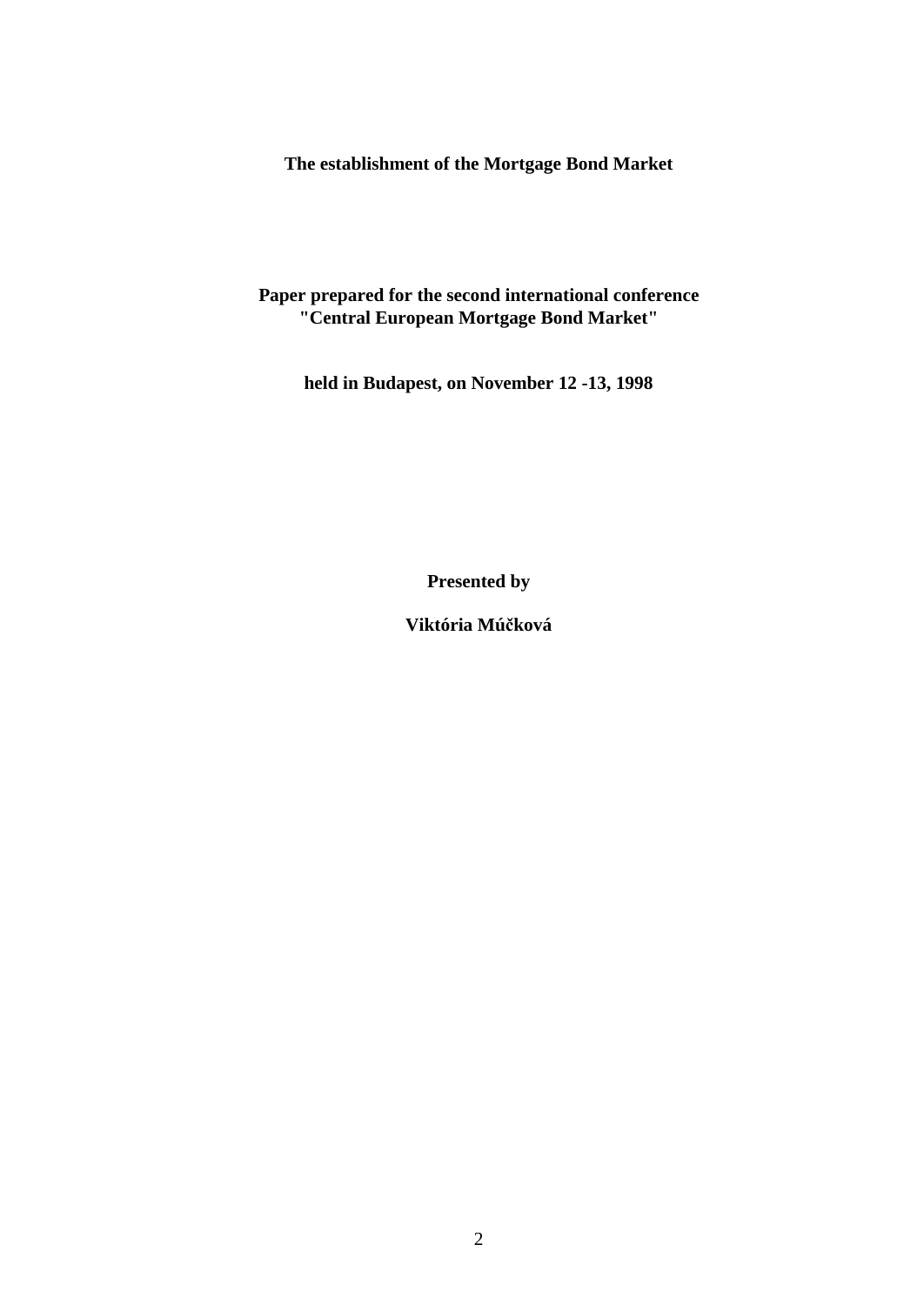**The establishment of the Mortgage Bond Market** 

### **Paper prepared for the second international conference "Central European Mortgage Bond Market"**

**held in Budapest, on November 12 -13, 1998** 

**Presented by** 

**Viktória Múčková**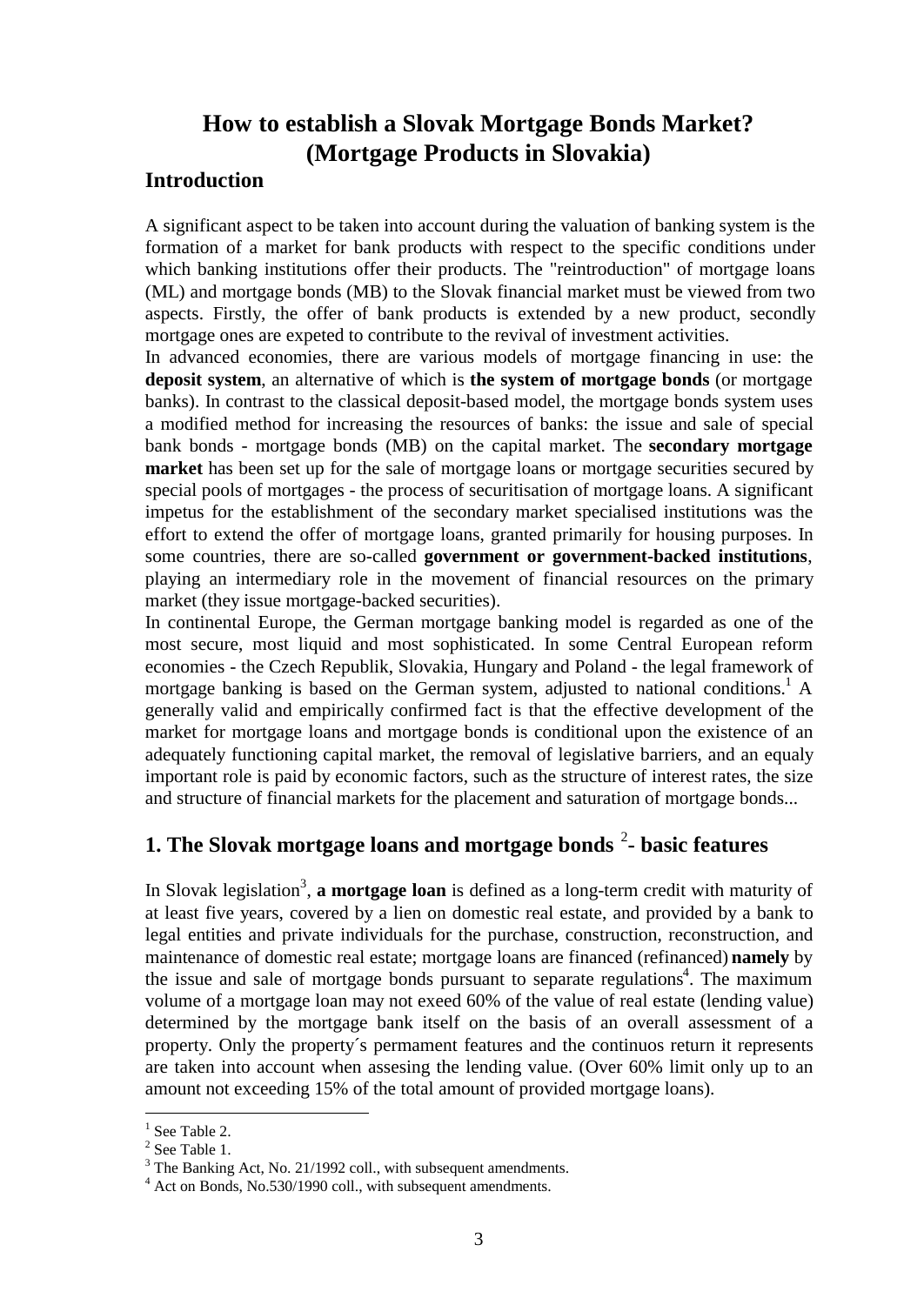## **How to establish a Slovak Mortgage Bonds Market? (Mortgage Products in Slovakia)**

### **Introduction**

A significant aspect to be taken into account during the valuation of banking system is the formation of a market for bank products with respect to the specific conditions under which banking institutions offer their products. The "reintroduction" of mortgage loans (ML) and mortgage bonds (MB) to the Slovak financial market must be viewed from two aspects. Firstly, the offer of bank products is extended by a new product, secondly mortgage ones are expeted to contribute to the revival of investment activities.

In advanced economies, there are various models of mortgage financing in use: the **deposit system**, an alternative of which is **the system of mortgage bonds** (or mortgage banks). In contrast to the classical deposit-based model, the mortgage bonds system uses a modified method for increasing the resources of banks: the issue and sale of special bank bonds - mortgage bonds (MB) on the capital market. The **secondary mortgage market** has been set up for the sale of mortgage loans or mortgage securities secured by special pools of mortgages - the process of securitisation of mortgage loans. A significant impetus for the establishment of the secondary market specialised institutions was the effort to extend the offer of mortgage loans, granted primarily for housing purposes. In some countries, there are so-called **government or government-backed institutions**, playing an intermediary role in the movement of financial resources on the primary market (they issue mortgage-backed securities).

In continental Europe, the German mortgage banking model is regarded as one of the most secure, most liquid and most sophisticated. In some Central European reform economies - the Czech Republik, Slovakia, Hungary and Poland - the legal framework of mortgage banking is based on the German system, adjusted to national conditions.<sup>1</sup> A generally valid and empirically confirmed fact is that the effective development of the market for mortgage loans and mortgage bonds is conditional upon the existence of an adequately functioning capital market, the removal of legislative barriers, and an equaly important role is paid by economic factors, such as the structure of interest rates, the size and structure of financial markets for the placement and saturation of mortgage bonds...

## **1. The Slovak mortgage loans and mortgage bonds** <sup>2</sup> **- basic features**

In Slovak legislation<sup>3</sup>, a mortgage loan is defined as a long-term credit with maturity of at least five years, covered by a lien on domestic real estate, and provided by a bank to legal entities and private individuals for the purchase, construction, reconstruction, and maintenance of domestic real estate; mortgage loans are financed (refinanced) **namely** by the issue and sale of mortgage bonds pursuant to separate regulations<sup>4</sup>. The maximum volume of a mortgage loan may not exeed 60% of the value of real estate (lending value) determined by the mortgage bank itself on the basis of an overall assessment of a property. Only the property´s permament features and the continuos return it represents are taken into account when assesing the lending value. (Over 60% limit only up to an amount not exceeding 15% of the total amount of provided mortgage loans).

 $\overline{a}$ 

 $<sup>1</sup>$  See Table 2.</sup>

 $2$  See Table 1.

<sup>&</sup>lt;sup>3</sup> The Banking Act, No. 21/1992 coll., with subsequent amendments.

<sup>&</sup>lt;sup>4</sup> Act on Bonds, No.530/1990 coll., with subsequent amendments.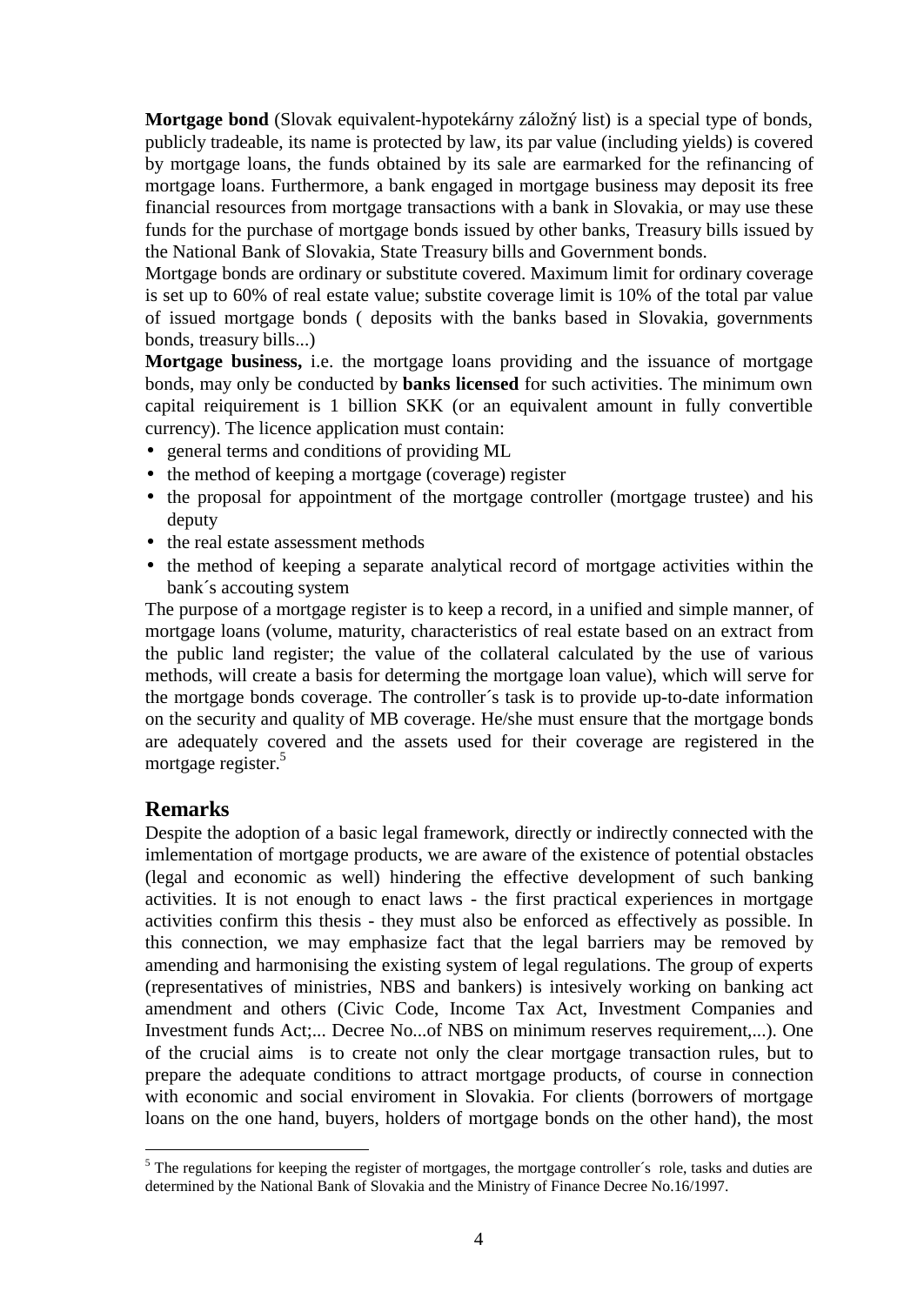**Mortgage bond** (Slovak equivalent-hypotekárny záložný list) is a special type of bonds, publicly tradeable, its name is protected by law, its par value (including yields) is covered by mortgage loans, the funds obtained by its sale are earmarked for the refinancing of mortgage loans. Furthermore, a bank engaged in mortgage business may deposit its free financial resources from mortgage transactions with a bank in Slovakia, or may use these funds for the purchase of mortgage bonds issued by other banks, Treasury bills issued by the National Bank of Slovakia, State Treasury bills and Government bonds.

Mortgage bonds are ordinary or substitute covered. Maximum limit for ordinary coverage is set up to 60% of real estate value; substite coverage limit is 10% of the total par value of issued mortgage bonds ( deposits with the banks based in Slovakia, governments bonds, treasury bills...)

**Mortgage business,** i.e. the mortgage loans providing and the issuance of mortgage bonds, may only be conducted by **banks licensed** for such activities. The minimum own capital reiquirement is 1 billion SKK (or an equivalent amount in fully convertible currency). The licence application must contain:

- general terms and conditions of providing ML
- the method of keeping a mortgage (coverage) register
- the proposal for appointment of the mortgage controller (mortgage trustee) and his deputy
- **·** the real estate assessment methods
- **·** the method of keeping a separate analytical record of mortgage activities within the bank´s accouting system

The purpose of a mortgage register is to keep a record, in a unified and simple manner, of mortgage loans (volume, maturity, characteristics of real estate based on an extract from the public land register; the value of the collateral calculated by the use of various methods, will create a basis for determing the mortgage loan value), which will serve for the mortgage bonds coverage. The controller´s task is to provide up-to-date information on the security and quality of MB coverage. He/she must ensure that the mortgage bonds are adequately covered and the assets used for their coverage are registered in the mortgage register.<sup>5</sup>

### **Remarks**

 $\overline{a}$ 

Despite the adoption of a basic legal framework, directly or indirectly connected with the imlementation of mortgage products, we are aware of the existence of potential obstacles (legal and economic as well) hindering the effective development of such banking activities. It is not enough to enact laws - the first practical experiences in mortgage activities confirm this thesis - they must also be enforced as effectively as possible. In this connection, we may emphasize fact that the legal barriers may be removed by amending and harmonising the existing system of legal regulations. The group of experts (representatives of ministries, NBS and bankers) is intesively working on banking act amendment and others (Civic Code, Income Tax Act, Investment Companies and Investment funds Act;... Decree No...of NBS on minimum reserves requirement,...). One of the crucial aims is to create not only the clear mortgage transaction rules, but to prepare the adequate conditions to attract mortgage products, of course in connection with economic and social enviroment in Slovakia. For clients (borrowers of mortgage loans on the one hand, buyers, holders of mortgage bonds on the other hand), the most

<sup>&</sup>lt;sup>5</sup> The regulations for keeping the register of mortgages, the mortgage controller´s role, tasks and duties are determined by the National Bank of Slovakia and the Ministry of Finance Decree No.16/1997.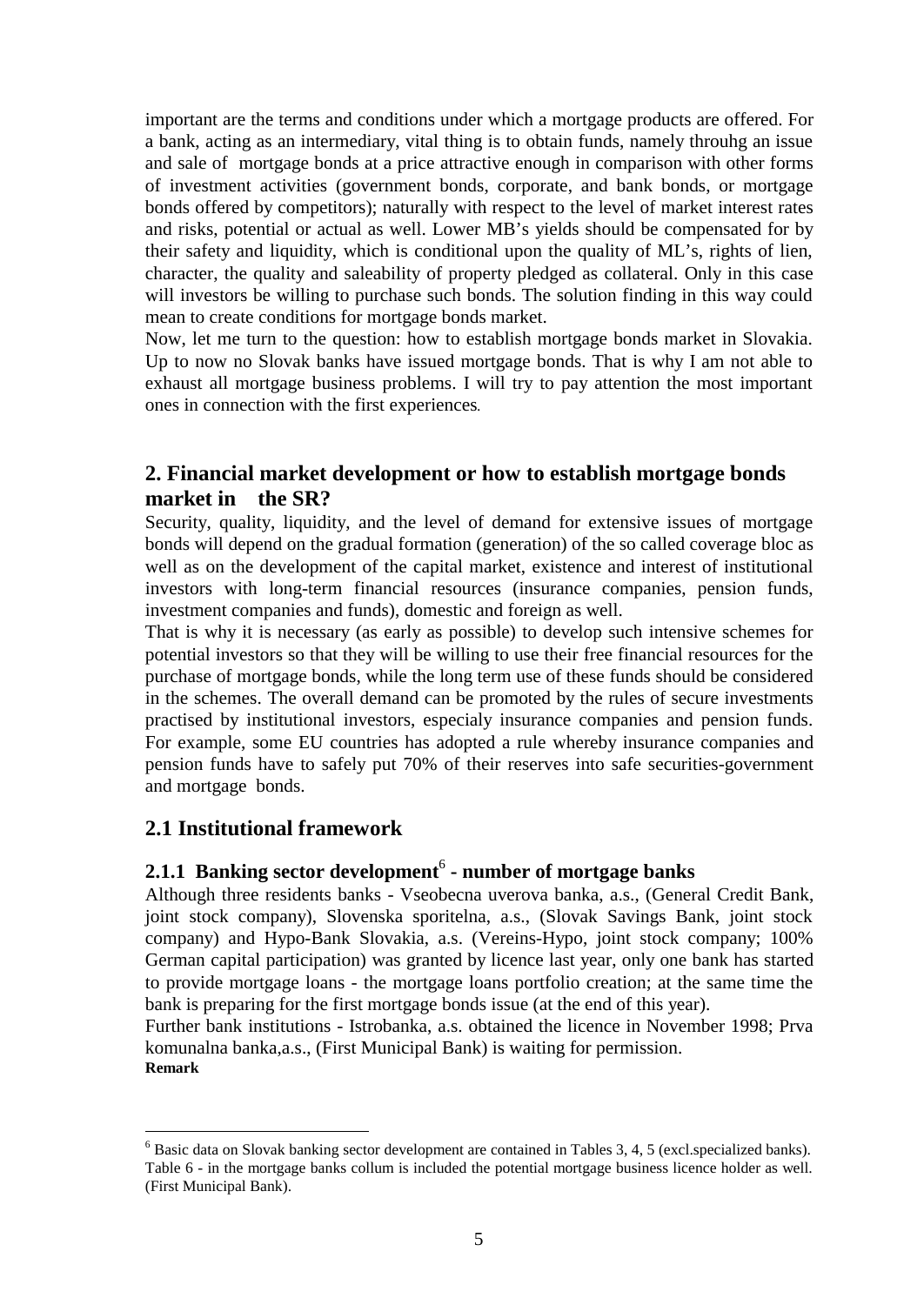important are the terms and conditions under which a mortgage products are offered. For a bank, acting as an intermediary, vital thing is to obtain funds, namely throuhg an issue and sale of mortgage bonds at a price attractive enough in comparison with other forms of investment activities (government bonds, corporate, and bank bonds, or mortgage bonds offered by competitors); naturally with respect to the level of market interest rates and risks, potential or actual as well. Lower MB's yields should be compensated for by their safety and liquidity, which is conditional upon the quality of ML's, rights of lien, character, the quality and saleability of property pledged as collateral. Only in this case will investors be willing to purchase such bonds. The solution finding in this way could mean to create conditions for mortgage bonds market.

Now, let me turn to the question: how to establish mortgage bonds market in Slovakia. Up to now no Slovak banks have issued mortgage bonds. That is why I am not able to exhaust all mortgage business problems. I will try to pay attention the most important ones in connection with the first experiences.

## **2. Financial market development or how to establish mortgage bonds market in the SR?**

Security, quality, liquidity, and the level of demand for extensive issues of mortgage bonds will depend on the gradual formation (generation) of the so called coverage bloc as well as on the development of the capital market, existence and interest of institutional investors with long-term financial resources (insurance companies, pension funds, investment companies and funds), domestic and foreign as well.

That is why it is necessary (as early as possible) to develop such intensive schemes for potential investors so that they will be willing to use their free financial resources for the purchase of mortgage bonds, while the long term use of these funds should be considered in the schemes. The overall demand can be promoted by the rules of secure investments practised by institutional investors, especialy insurance companies and pension funds. For example, some EU countries has adopted a rule whereby insurance companies and pension funds have to safely put 70% of their reserves into safe securities-government and mortgage bonds.

### **2.1 Institutional framework**

 $\overline{a}$ 

## 2.1.1 Banking sector development<sup>6</sup> - number of mortgage banks

Although three residents banks - Vseobecna uverova banka, a.s., (General Credit Bank, joint stock company), Slovenska sporitelna, a.s., (Slovak Savings Bank, joint stock company) and Hypo-Bank Slovakia, a.s. (Vereins-Hypo, joint stock company; 100% German capital participation) was granted by licence last year, only one bank has started to provide mortgage loans - the mortgage loans portfolio creation; at the same time the bank is preparing for the first mortgage bonds issue (at the end of this year).

Further bank institutions - Istrobanka, a.s. obtained the licence in November 1998; Prva komunalna banka,a.s., (First Municipal Bank) is waiting for permission. **Remark**

<sup>6</sup> Basic data on Slovak banking sector development are contained in Tables 3, 4, 5 (excl.specialized banks). Table 6 - in the mortgage banks collum is included the potential mortgage business licence holder as well. (First Municipal Bank).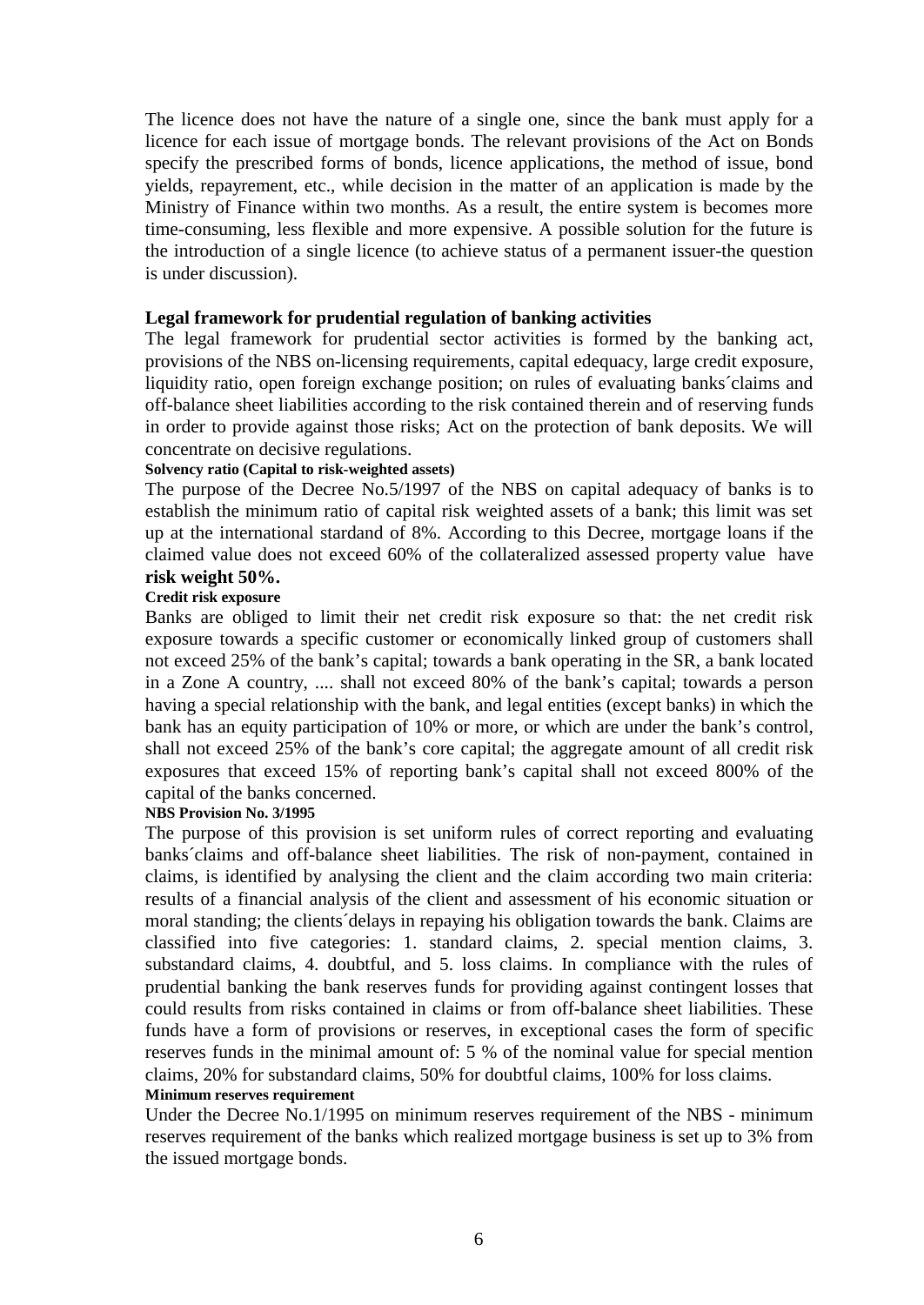The licence does not have the nature of a single one, since the bank must apply for a licence for each issue of mortgage bonds. The relevant provisions of the Act on Bonds specify the prescribed forms of bonds, licence applications, the method of issue, bond yields, repayrement, etc., while decision in the matter of an application is made by the Ministry of Finance within two months. As a result, the entire system is becomes more time-consuming, less flexible and more expensive. A possible solution for the future is the introduction of a single licence (to achieve status of a permanent issuer-the question is under discussion).

#### **Legal framework for prudential regulation of banking activities**

The legal framework for prudential sector activities is formed by the banking act, provisions of the NBS on-licensing requirements, capital edequacy, large credit exposure, liquidity ratio, open foreign exchange position; on rules of evaluating banks´claims and off-balance sheet liabilities according to the risk contained therein and of reserving funds in order to provide against those risks; Act on the protection of bank deposits. We will concentrate on decisive regulations.

#### **Solvency ratio (Capital to risk-weighted assets)**

The purpose of the Decree No.5/1997 of the NBS on capital adequacy of banks is to establish the minimum ratio of capital risk weighted assets of a bank; this limit was set up at the international stardand of 8%. According to this Decree, mortgage loans if the claimed value does not exceed 60% of the collateralized assessed property value have **risk weight 50%.** 

#### **Credit risk exposure**

Banks are obliged to limit their net credit risk exposure so that: the net credit risk exposure towards a specific customer or economically linked group of customers shall not exceed 25% of the bank's capital; towards a bank operating in the SR, a bank located in a Zone A country, .... shall not exceed 80% of the bank's capital; towards a person having a special relationship with the bank, and legal entities (except banks) in which the bank has an equity participation of 10% or more, or which are under the bank's control, shall not exceed 25% of the bank's core capital; the aggregate amount of all credit risk exposures that exceed 15% of reporting bank's capital shall not exceed 800% of the capital of the banks concerned.

#### **NBS Provision No. 3/1995**

The purpose of this provision is set uniform rules of correct reporting and evaluating banks´claims and off-balance sheet liabilities. The risk of non-payment, contained in claims, is identified by analysing the client and the claim according two main criteria: results of a financial analysis of the client and assessment of his economic situation or moral standing; the clients´delays in repaying his obligation towards the bank. Claims are classified into five categories: 1. standard claims, 2. special mention claims, 3. substandard claims, 4. doubtful, and 5. loss claims. In compliance with the rules of prudential banking the bank reserves funds for providing against contingent losses that could results from risks contained in claims or from off-balance sheet liabilities. These funds have a form of provisions or reserves, in exceptional cases the form of specific reserves funds in the minimal amount of: 5 % of the nominal value for special mention claims, 20% for substandard claims, 50% for doubtful claims, 100% for loss claims.

#### **Minimum reserves requirement**

Under the Decree No.1/1995 on minimum reserves requirement of the NBS - minimum reserves requirement of the banks which realized mortgage business is set up to 3% from the issued mortgage bonds.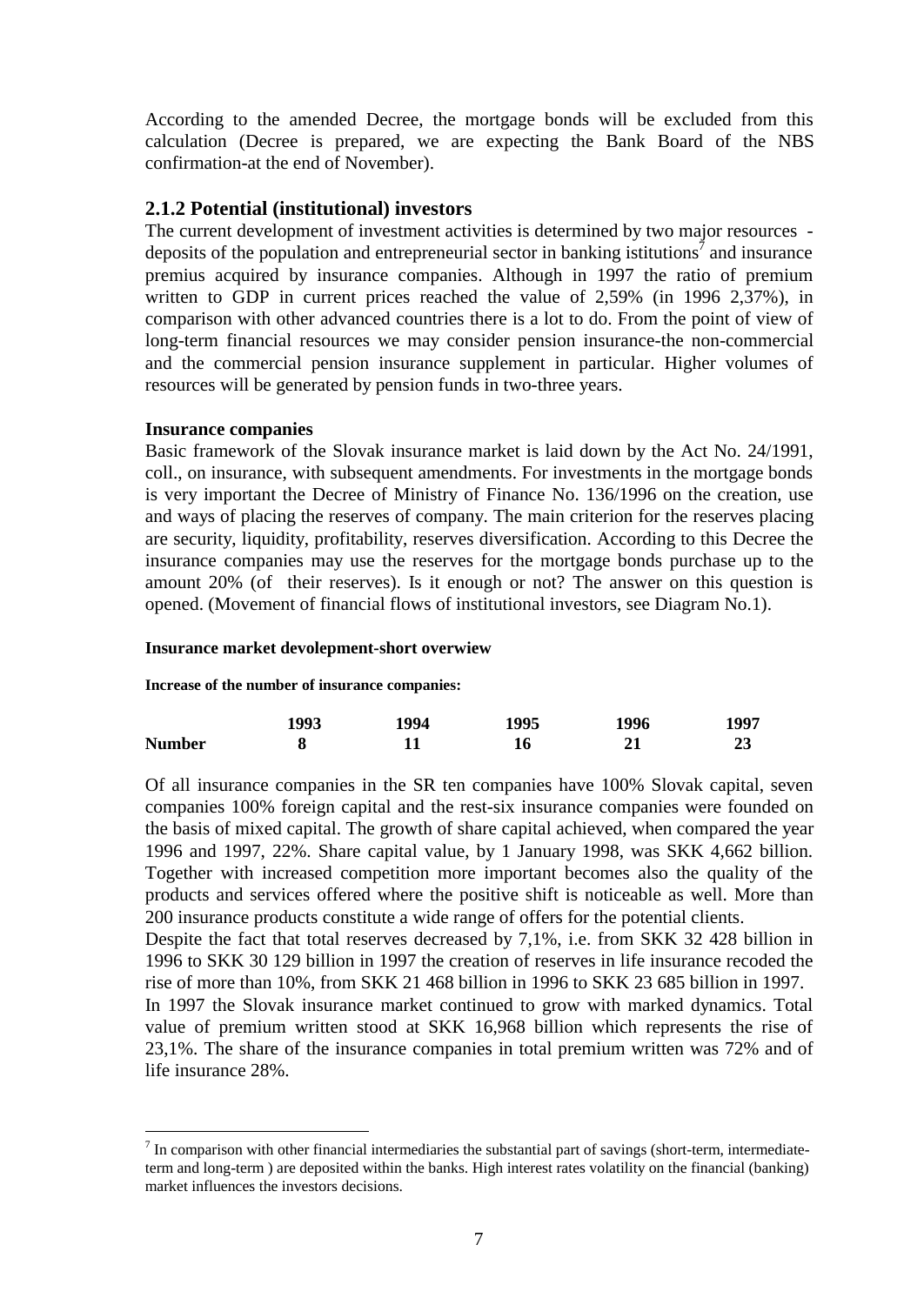According to the amended Decree, the mortgage bonds will be excluded from this calculation (Decree is prepared, we are expecting the Bank Board of the NBS confirmation-at the end of November).

#### **2.1.2 Potential (institutional) investors**

The current development of investment activities is determined by two major resources deposits of the population and entrepreneurial sector in banking istitutions<sup> $\bar{j}$ </sup> and insurance premius acquired by insurance companies. Although in 1997 the ratio of premium written to GDP in current prices reached the value of 2,59% (in 1996 2,37%), in comparison with other advanced countries there is a lot to do. From the point of view of long-term financial resources we may consider pension insurance-the non-commercial and the commercial pension insurance supplement in particular. Higher volumes of resources will be generated by pension funds in two-three years.

#### **Insurance companies**

 $\overline{a}$ 

Basic framework of the Slovak insurance market is laid down by the Act No. 24/1991, coll., on insurance, with subsequent amendments. For investments in the mortgage bonds is very important the Decree of Ministry of Finance No. 136/1996 on the creation, use and ways of placing the reserves of company. The main criterion for the reserves placing are security, liquidity, profitability, reserves diversification. According to this Decree the insurance companies may use the reserves for the mortgage bonds purchase up to the amount 20% (of their reserves). Is it enough or not? The answer on this question is opened. (Movement of financial flows of institutional investors, see Diagram No.1).

#### **Insurance market devolepment-short overwiew**

#### **Increase of the number of insurance companies:**

|               | 1993 | 1994 | 1995 | 1996 | 1997 |
|---------------|------|------|------|------|------|
| <b>Number</b> |      |      | 16   |      | ⊿J   |

Of all insurance companies in the SR ten companies have 100% Slovak capital, seven companies 100% foreign capital and the rest-six insurance companies were founded on the basis of mixed capital. The growth of share capital achieved, when compared the year 1996 and 1997, 22%. Share capital value, by 1 January 1998, was SKK 4,662 billion. Together with increased competition more important becomes also the quality of the products and services offered where the positive shift is noticeable as well. More than 200 insurance products constitute a wide range of offers for the potential clients.

Despite the fact that total reserves decreased by 7,1%, i.e. from SKK 32 428 billion in 1996 to SKK 30 129 billion in 1997 the creation of reserves in life insurance recoded the rise of more than 10%, from SKK 21 468 billion in 1996 to SKK 23 685 billion in 1997.

In 1997 the Slovak insurance market continued to grow with marked dynamics. Total value of premium written stood at SKK 16,968 billion which represents the rise of 23,1%. The share of the insurance companies in total premium written was 72% and of life insurance 28%.

 $<sup>7</sup>$  In comparison with other financial intermediaries the substantial part of savings (short-term, intermediate-</sup> term and long-term ) are deposited within the banks. High interest rates volatility on the financial (banking) market influences the investors decisions.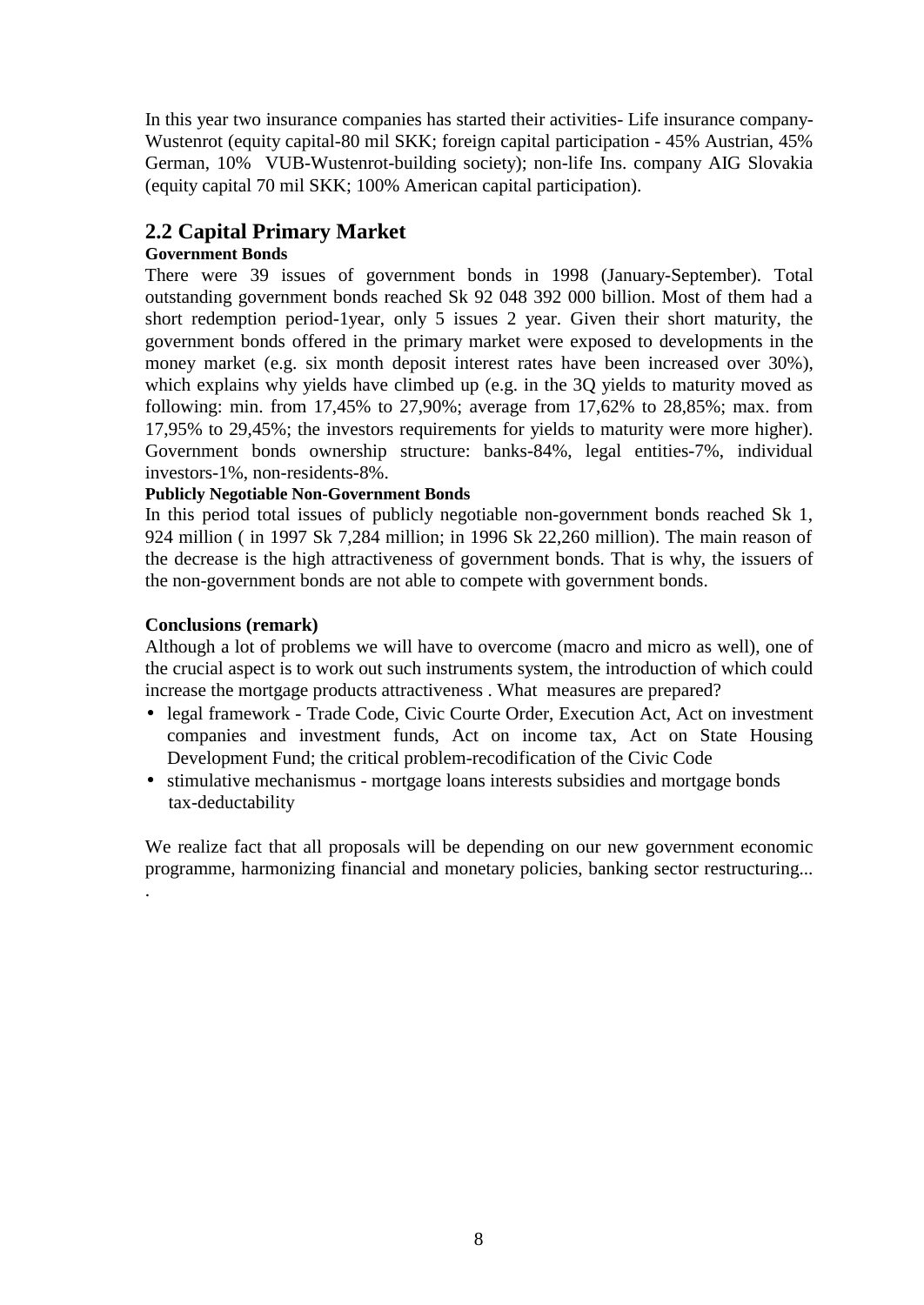In this year two insurance companies has started their activities- Life insurance company-Wustenrot (equity capital-80 mil SKK; foreign capital participation - 45% Austrian, 45% German, 10% VUB-Wustenrot-building society); non-life Ins. company AIG Slovakia (equity capital 70 mil SKK; 100% American capital participation).

## **2.2 Capital Primary Market**

#### **Government Bonds**

There were 39 issues of government bonds in 1998 (January-September). Total outstanding government bonds reached Sk 92 048 392 000 billion. Most of them had a short redemption period-1year, only 5 issues 2 year. Given their short maturity, the government bonds offered in the primary market were exposed to developments in the money market (e.g. six month deposit interest rates have been increased over 30%), which explains why yields have climbed up (e.g. in the 3Q yields to maturity moved as following: min. from 17,45% to 27,90%; average from 17,62% to 28,85%; max. from 17,95% to 29,45%; the investors requirements for yields to maturity were more higher). Government bonds ownership structure: banks-84%, legal entities-7%, individual investors-1%, non-residents-8%.

#### **Publicly Negotiable Non-Government Bonds**

In this period total issues of publicly negotiable non-government bonds reached Sk 1, 924 million ( in 1997 Sk 7,284 million; in 1996 Sk 22,260 million). The main reason of the decrease is the high attractiveness of government bonds. That is why, the issuers of the non-government bonds are not able to compete with government bonds.

#### **Conclusions (remark)**

.

Although a lot of problems we will have to overcome (macro and micro as well), one of the crucial aspect is to work out such instruments system, the introduction of which could increase the mortgage products attractiveness . What measures are prepared?

- **·** legal framework Trade Code, Civic Courte Order, Execution Act, Act on investment companies and investment funds, Act on income tax, Act on State Housing Development Fund; the critical problem-recodification of the Civic Code
- **·** stimulative mechanismus mortgage loans interests subsidies and mortgage bonds tax-deductability

We realize fact that all proposals will be depending on our new government economic programme, harmonizing financial and monetary policies, banking sector restructuring...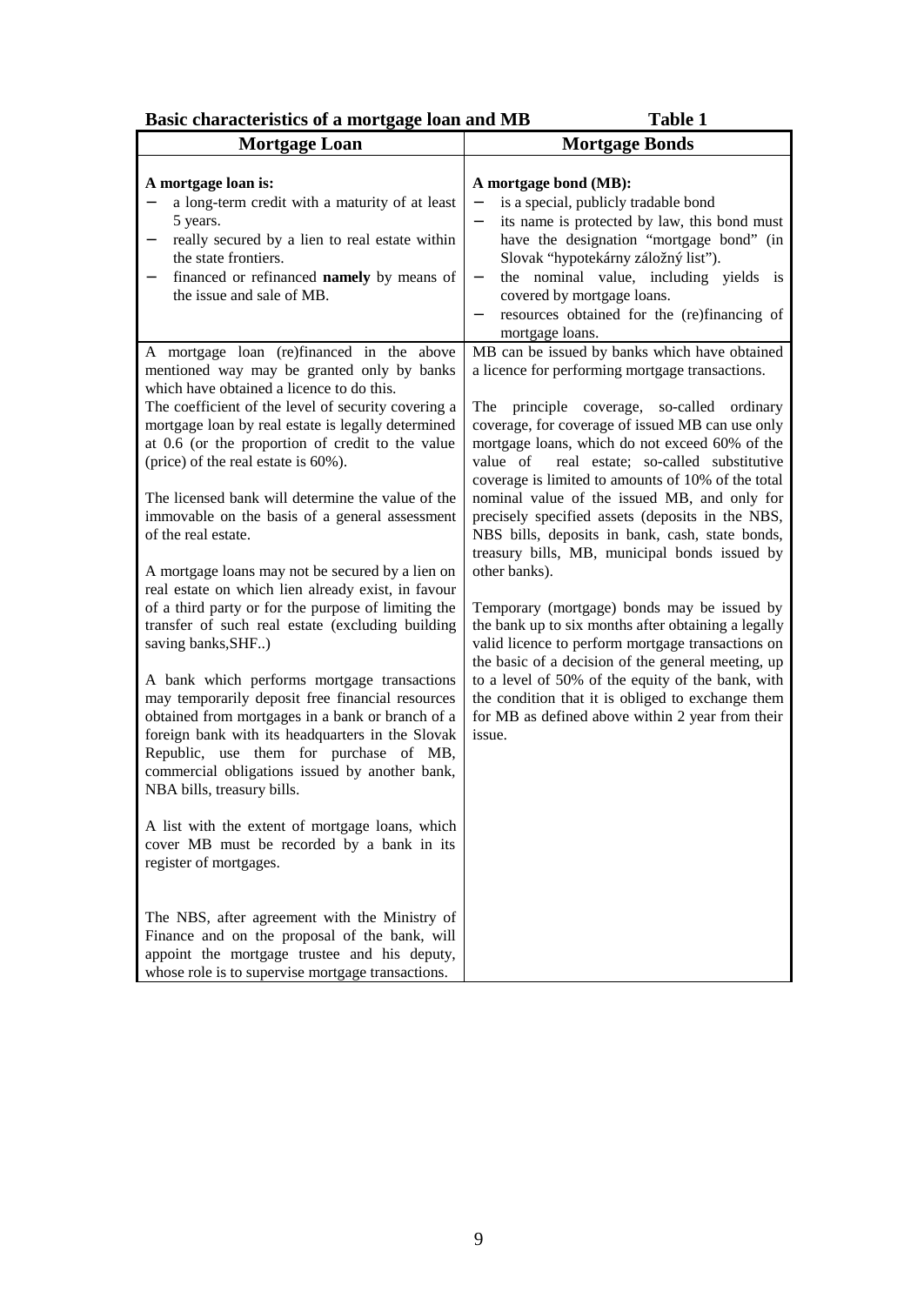| Basic characteristics of a mortgage loan and MB | Table 1 |
|-------------------------------------------------|---------|
|-------------------------------------------------|---------|

| Dasit that acteristics of a mortgage foan and mid                                                                                                                                                                                                                                                                                                                                                           |                                                                                                                                                                                                                                                                                                                                                                                                                      |
|-------------------------------------------------------------------------------------------------------------------------------------------------------------------------------------------------------------------------------------------------------------------------------------------------------------------------------------------------------------------------------------------------------------|----------------------------------------------------------------------------------------------------------------------------------------------------------------------------------------------------------------------------------------------------------------------------------------------------------------------------------------------------------------------------------------------------------------------|
| <b>Mortgage Loan</b>                                                                                                                                                                                                                                                                                                                                                                                        | <b>Mortgage Bonds</b>                                                                                                                                                                                                                                                                                                                                                                                                |
| A mortgage loan is:<br>a long-term credit with a maturity of at least<br>5 years.<br>really secured by a lien to real estate within<br>-<br>the state frontiers.<br>financed or refinanced namely by means of<br>-<br>the issue and sale of MB.                                                                                                                                                             | A mortgage bond (MB):<br>is a special, publicly tradable bond<br>its name is protected by law, this bond must<br>$\overline{\phantom{a}}$<br>have the designation "mortgage bond" (in<br>Slovak "hypotekárny záložný lisť").<br>the nominal value, including yields is<br>$\blacksquare$<br>covered by mortgage loans.<br>resources obtained for the (re)financing of<br>$\overline{\phantom{a}}$<br>mortgage loans. |
| A mortgage loan (re)financed in the above<br>mentioned way may be granted only by banks<br>which have obtained a licence to do this.<br>The coefficient of the level of security covering a<br>mortgage loan by real estate is legally determined<br>at 0.6 (or the proportion of credit to the value<br>(price) of the real estate is 60%).                                                                | MB can be issued by banks which have obtained<br>a licence for performing mortgage transactions.<br>principle coverage, so-called ordinary<br>The<br>coverage, for coverage of issued MB can use only<br>mortgage loans, which do not exceed 60% of the<br>value of<br>real estate; so-called substitutive<br>coverage is limited to amounts of 10% of the total                                                     |
| The licensed bank will determine the value of the<br>immovable on the basis of a general assessment<br>of the real estate.<br>A mortgage loans may not be secured by a lien on<br>real estate on which lien already exist, in favour<br>of a third party or for the purpose of limiting the                                                                                                                 | nominal value of the issued MB, and only for<br>precisely specified assets (deposits in the NBS,<br>NBS bills, deposits in bank, cash, state bonds,<br>treasury bills, MB, municipal bonds issued by<br>other banks).<br>Temporary (mortgage) bonds may be issued by                                                                                                                                                 |
| transfer of such real estate (excluding building<br>saving banks, SHF)<br>A bank which performs mortgage transactions<br>may temporarily deposit free financial resources<br>obtained from mortgages in a bank or branch of a<br>foreign bank with its headquarters in the Slovak<br>Republic, use them for purchase of MB,<br>commercial obligations issued by another bank,<br>NBA bills, treasury bills. | the bank up to six months after obtaining a legally<br>valid licence to perform mortgage transactions on<br>the basic of a decision of the general meeting, up<br>to a level of 50% of the equity of the bank, with<br>the condition that it is obliged to exchange them<br>for MB as defined above within 2 year from their<br>issue.                                                                               |
| A list with the extent of mortgage loans, which<br>cover MB must be recorded by a bank in its<br>register of mortgages.                                                                                                                                                                                                                                                                                     |                                                                                                                                                                                                                                                                                                                                                                                                                      |
| The NBS, after agreement with the Ministry of<br>Finance and on the proposal of the bank, will<br>appoint the mortgage trustee and his deputy,<br>whose role is to supervise mortgage transactions.                                                                                                                                                                                                         |                                                                                                                                                                                                                                                                                                                                                                                                                      |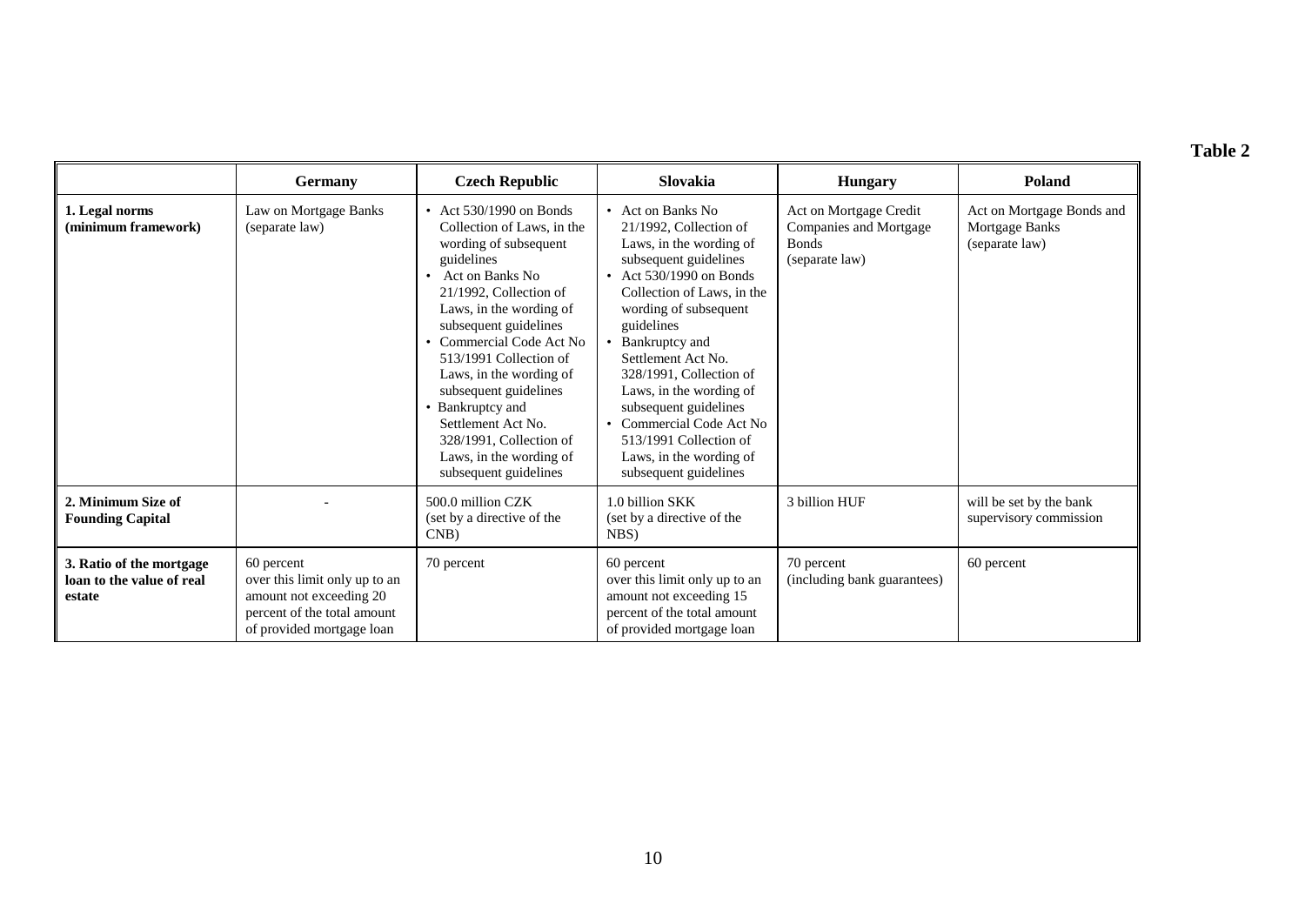## **Table 2**

|                                                                 | Germany                                                                                                                            | <b>Czech Republic</b>                                                                                                                                                                                                                                                                                                                                                                                                              | Slovakia                                                                                                                                                                                                                                                                                                                                                                                                                       | <b>Hungary</b>                                                                            | Poland                                                        |
|-----------------------------------------------------------------|------------------------------------------------------------------------------------------------------------------------------------|------------------------------------------------------------------------------------------------------------------------------------------------------------------------------------------------------------------------------------------------------------------------------------------------------------------------------------------------------------------------------------------------------------------------------------|--------------------------------------------------------------------------------------------------------------------------------------------------------------------------------------------------------------------------------------------------------------------------------------------------------------------------------------------------------------------------------------------------------------------------------|-------------------------------------------------------------------------------------------|---------------------------------------------------------------|
| 1. Legal norms<br>(minimum framework)                           | Law on Mortgage Banks<br>(separate law)                                                                                            | • Act $530/1990$ on Bonds<br>Collection of Laws, in the<br>wording of subsequent<br>guidelines<br>Act on Banks No<br>21/1992, Collection of<br>Laws, in the wording of<br>subsequent guidelines<br>• Commercial Code Act No<br>513/1991 Collection of<br>Laws, in the wording of<br>subsequent guidelines<br>• Bankruptcy and<br>Settlement Act No.<br>328/1991, Collection of<br>Laws, in the wording of<br>subsequent guidelines | • Act on Banks No<br>21/1992, Collection of<br>Laws, in the wording of<br>subsequent guidelines<br>Act 530/1990 on Bonds<br>Collection of Laws, in the<br>wording of subsequent<br>guidelines<br>• Bankruptcy and<br>Settlement Act No.<br>328/1991, Collection of<br>Laws, in the wording of<br>subsequent guidelines<br>Commercial Code Act No<br>513/1991 Collection of<br>Laws, in the wording of<br>subsequent guidelines | Act on Mortgage Credit<br><b>Companies and Mortgage</b><br><b>Bonds</b><br>(separate law) | Act on Mortgage Bonds and<br>Mortgage Banks<br>(separate law) |
| 2. Minimum Size of<br><b>Founding Capital</b>                   |                                                                                                                                    | 500.0 million CZK<br>(set by a directive of the<br>CNB                                                                                                                                                                                                                                                                                                                                                                             | 1.0 billion SKK<br>(set by a directive of the<br>NBS)                                                                                                                                                                                                                                                                                                                                                                          | 3 billion HUF                                                                             | will be set by the bank<br>supervisory commission             |
| 3. Ratio of the mortgage<br>loan to the value of real<br>estate | 60 percent<br>over this limit only up to an<br>amount not exceeding 20<br>percent of the total amount<br>of provided mortgage loan | 70 percent                                                                                                                                                                                                                                                                                                                                                                                                                         | 60 percent<br>over this limit only up to an<br>amount not exceeding 15<br>percent of the total amount<br>of provided mortgage loan                                                                                                                                                                                                                                                                                             | 70 percent<br>(including bank guarantees)                                                 | 60 percent                                                    |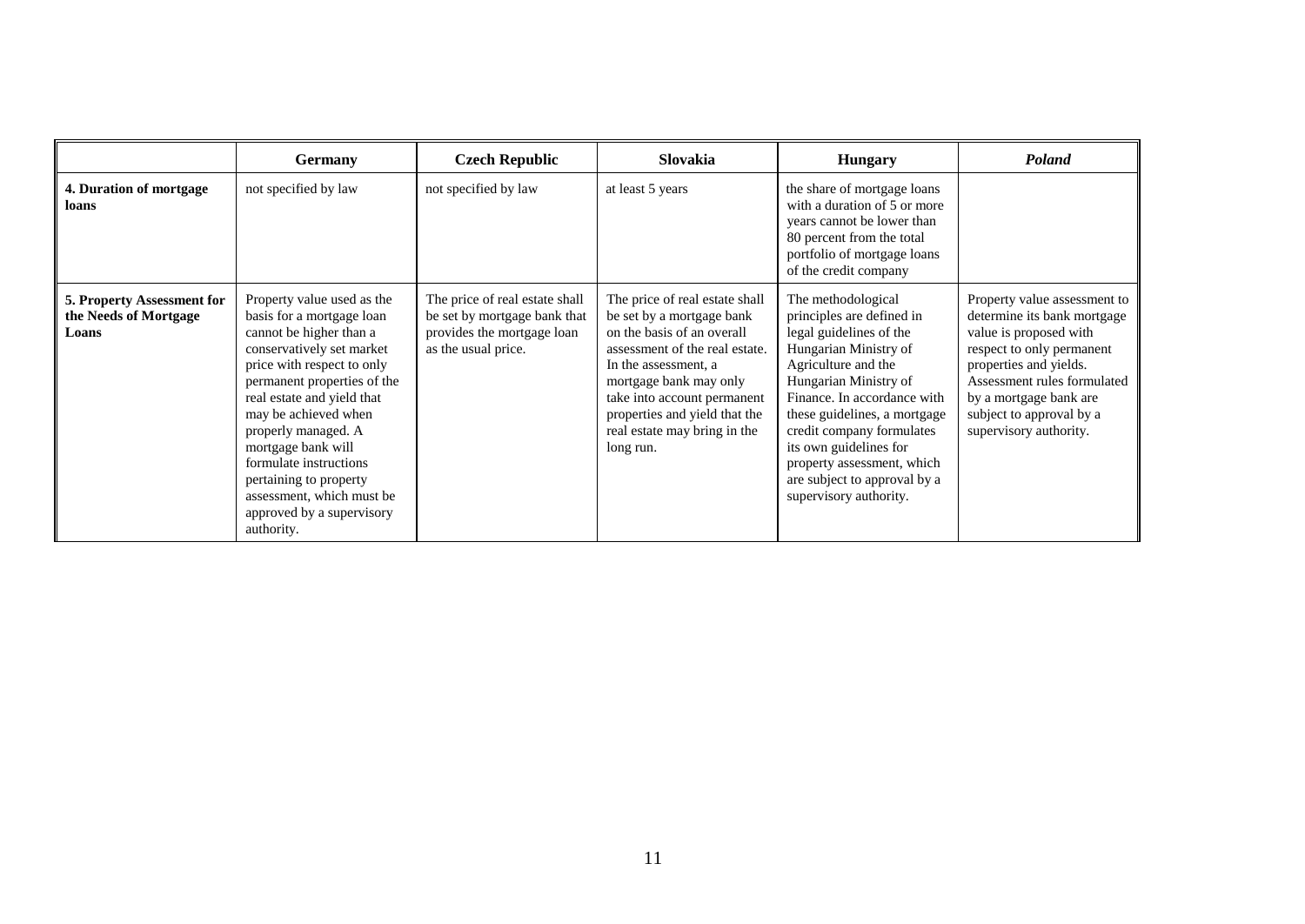|                                                              | <b>Germany</b>                                                                                                                                                                                                                                                                                                                                                                                              | <b>Czech Republic</b>                                                                                               | <b>Slovakia</b>                                                                                                                                                                                                                                                                            | <b>Hungary</b>                                                                                                                                                                                                                                                                                                                                                    | Poland                                                                                                                                                                                                                                                      |
|--------------------------------------------------------------|-------------------------------------------------------------------------------------------------------------------------------------------------------------------------------------------------------------------------------------------------------------------------------------------------------------------------------------------------------------------------------------------------------------|---------------------------------------------------------------------------------------------------------------------|--------------------------------------------------------------------------------------------------------------------------------------------------------------------------------------------------------------------------------------------------------------------------------------------|-------------------------------------------------------------------------------------------------------------------------------------------------------------------------------------------------------------------------------------------------------------------------------------------------------------------------------------------------------------------|-------------------------------------------------------------------------------------------------------------------------------------------------------------------------------------------------------------------------------------------------------------|
| 4. Duration of mortgage<br>loans                             | not specified by law                                                                                                                                                                                                                                                                                                                                                                                        | not specified by law                                                                                                | at least 5 years                                                                                                                                                                                                                                                                           | the share of mortgage loans<br>with a duration of 5 or more<br>years cannot be lower than<br>80 percent from the total<br>portfolio of mortgage loans<br>of the credit company                                                                                                                                                                                    |                                                                                                                                                                                                                                                             |
| 5. Property Assessment for<br>the Needs of Mortgage<br>Loans | Property value used as the<br>basis for a mortgage loan<br>cannot be higher than a<br>conservatively set market<br>price with respect to only<br>permanent properties of the<br>real estate and yield that<br>may be achieved when<br>properly managed. A<br>mortgage bank will<br>formulate instructions<br>pertaining to property<br>assessment, which must be<br>approved by a supervisory<br>authority. | The price of real estate shall<br>be set by mortgage bank that<br>provides the mortgage loan<br>as the usual price. | The price of real estate shall<br>be set by a mortgage bank<br>on the basis of an overall<br>assessment of the real estate.<br>In the assessment, a<br>mortgage bank may only<br>take into account permanent<br>properties and yield that the<br>real estate may bring in the<br>long run. | The methodological<br>principles are defined in<br>legal guidelines of the<br>Hungarian Ministry of<br>Agriculture and the<br>Hungarian Ministry of<br>Finance. In accordance with<br>these guidelines, a mortgage<br>credit company formulates<br>its own guidelines for<br>property assessment, which<br>are subject to approval by a<br>supervisory authority. | Property value assessment to<br>determine its bank mortgage<br>value is proposed with<br>respect to only permanent<br>properties and yields.<br>Assessment rules formulated<br>by a mortgage bank are<br>subject to approval by a<br>supervisory authority. |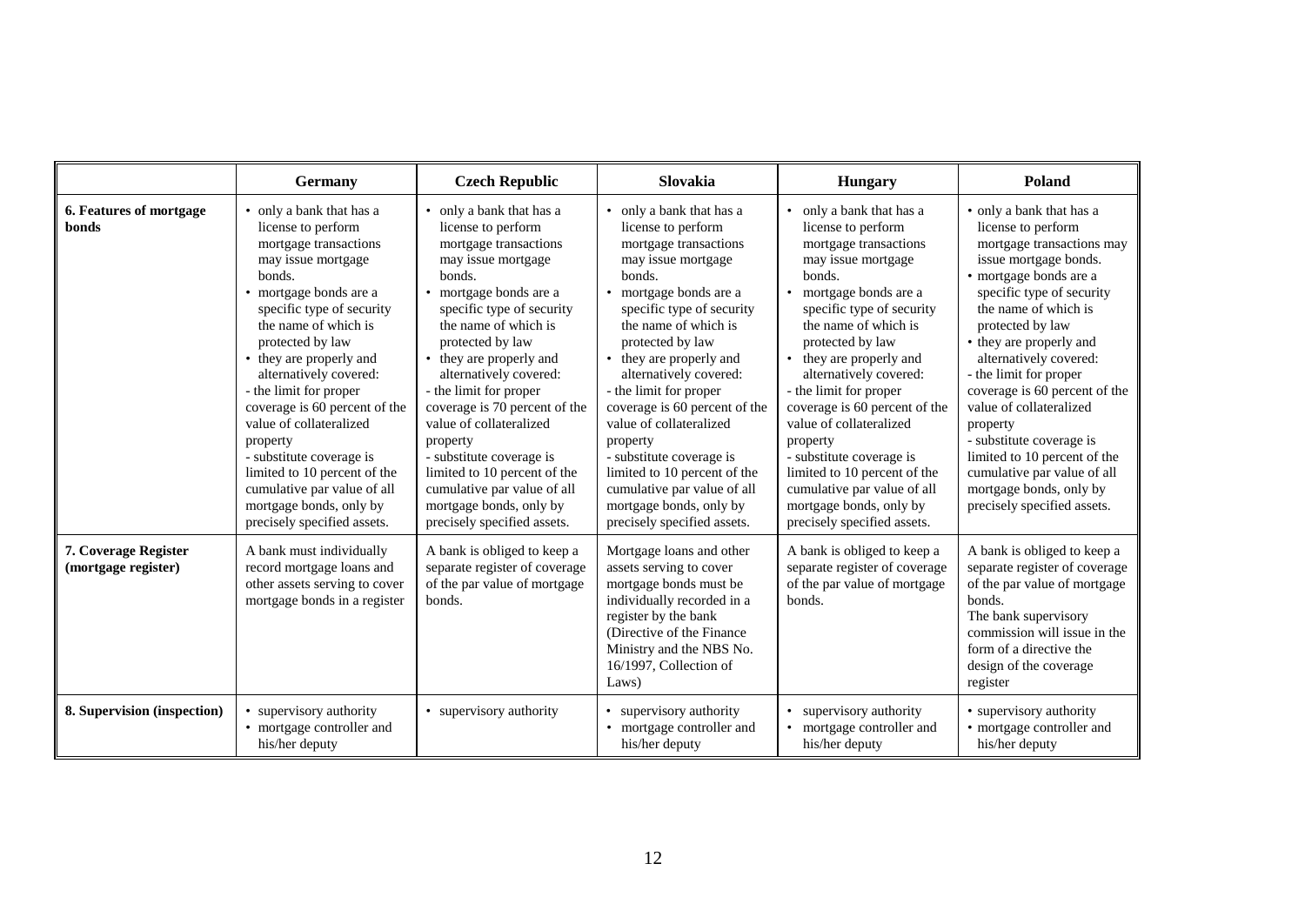|                                             | <b>Germany</b>                                                                                                                                                                                                                                                                                                                                                                                                                                                                                                         | <b>Czech Republic</b>                                                                                                                                                                                                                                                                                                                                                                                                                                                                                                  | Slovakia                                                                                                                                                                                                                                                                                                                                                                                                                                                                                                             | <b>Hungary</b>                                                                                                                                                                                                                                                                                                                                                                                                                                                                                                                | Poland                                                                                                                                                                                                                                                                                                                                                                                                                                                                                                              |
|---------------------------------------------|------------------------------------------------------------------------------------------------------------------------------------------------------------------------------------------------------------------------------------------------------------------------------------------------------------------------------------------------------------------------------------------------------------------------------------------------------------------------------------------------------------------------|------------------------------------------------------------------------------------------------------------------------------------------------------------------------------------------------------------------------------------------------------------------------------------------------------------------------------------------------------------------------------------------------------------------------------------------------------------------------------------------------------------------------|----------------------------------------------------------------------------------------------------------------------------------------------------------------------------------------------------------------------------------------------------------------------------------------------------------------------------------------------------------------------------------------------------------------------------------------------------------------------------------------------------------------------|-------------------------------------------------------------------------------------------------------------------------------------------------------------------------------------------------------------------------------------------------------------------------------------------------------------------------------------------------------------------------------------------------------------------------------------------------------------------------------------------------------------------------------|---------------------------------------------------------------------------------------------------------------------------------------------------------------------------------------------------------------------------------------------------------------------------------------------------------------------------------------------------------------------------------------------------------------------------------------------------------------------------------------------------------------------|
| 6. Features of mortgage<br>bonds            | • only a bank that has a<br>license to perform<br>mortgage transactions<br>may issue mortgage<br>bonds.<br>• mortgage bonds are a<br>specific type of security<br>the name of which is<br>protected by law<br>• they are properly and<br>alternatively covered:<br>- the limit for proper<br>coverage is 60 percent of the<br>value of collateralized<br>property<br>- substitute coverage is<br>limited to 10 percent of the<br>cumulative par value of all<br>mortgage bonds, only by<br>precisely specified assets. | • only a bank that has a<br>license to perform<br>mortgage transactions<br>may issue mortgage<br>bonds.<br>• mortgage bonds are a<br>specific type of security<br>the name of which is<br>protected by law<br>• they are properly and<br>alternatively covered:<br>- the limit for proper<br>coverage is 70 percent of the<br>value of collateralized<br>property<br>- substitute coverage is<br>limited to 10 percent of the<br>cumulative par value of all<br>mortgage bonds, only by<br>precisely specified assets. | • only a bank that has a<br>license to perform<br>mortgage transactions<br>may issue mortgage<br>bonds.<br>• mortgage bonds are a<br>specific type of security<br>the name of which is<br>protected by law<br>they are properly and<br>alternatively covered:<br>- the limit for proper<br>coverage is 60 percent of the<br>value of collateralized<br>property<br>- substitute coverage is<br>limited to 10 percent of the<br>cumulative par value of all<br>mortgage bonds, only by<br>precisely specified assets. | only a bank that has a<br>license to perform<br>mortgage transactions<br>may issue mortgage<br>bonds.<br>mortgage bonds are a<br>$\bullet$<br>specific type of security<br>the name of which is<br>protected by law<br>they are properly and<br>alternatively covered:<br>- the limit for proper<br>coverage is 60 percent of the<br>value of collateralized<br>property<br>- substitute coverage is<br>limited to 10 percent of the<br>cumulative par value of all<br>mortgage bonds, only by<br>precisely specified assets. | • only a bank that has a<br>license to perform<br>mortgage transactions may<br>issue mortgage bonds.<br>· mortgage bonds are a<br>specific type of security<br>the name of which is<br>protected by law<br>• they are properly and<br>alternatively covered:<br>- the limit for proper<br>coverage is 60 percent of the<br>value of collateralized<br>property<br>- substitute coverage is<br>limited to 10 percent of the<br>cumulative par value of all<br>mortgage bonds, only by<br>precisely specified assets. |
| 7. Coverage Register<br>(mortgage register) | A bank must individually<br>record mortgage loans and<br>other assets serving to cover<br>mortgage bonds in a register                                                                                                                                                                                                                                                                                                                                                                                                 | A bank is obliged to keep a<br>separate register of coverage<br>of the par value of mortgage<br>bonds.                                                                                                                                                                                                                                                                                                                                                                                                                 | Mortgage loans and other<br>assets serving to cover<br>mortgage bonds must be<br>individually recorded in a<br>register by the bank<br>(Directive of the Finance)<br>Ministry and the NBS No.<br>16/1997, Collection of<br>Laws)                                                                                                                                                                                                                                                                                     | A bank is obliged to keep a<br>separate register of coverage<br>of the par value of mortgage<br>bonds.                                                                                                                                                                                                                                                                                                                                                                                                                        | A bank is obliged to keep a<br>separate register of coverage<br>of the par value of mortgage<br>bonds.<br>The bank supervisory<br>commission will issue in the<br>form of a directive the<br>design of the coverage<br>register                                                                                                                                                                                                                                                                                     |
| 8. Supervision (inspection)                 | • supervisory authority<br>• mortgage controller and<br>his/her deputy                                                                                                                                                                                                                                                                                                                                                                                                                                                 | • supervisory authority                                                                                                                                                                                                                                                                                                                                                                                                                                                                                                | • supervisory authority<br>• mortgage controller and<br>his/her deputy                                                                                                                                                                                                                                                                                                                                                                                                                                               | supervisory authority<br>mortgage controller and<br>$\bullet$<br>his/her deputy                                                                                                                                                                                                                                                                                                                                                                                                                                               | • supervisory authority<br>• mortgage controller and<br>his/her deputy                                                                                                                                                                                                                                                                                                                                                                                                                                              |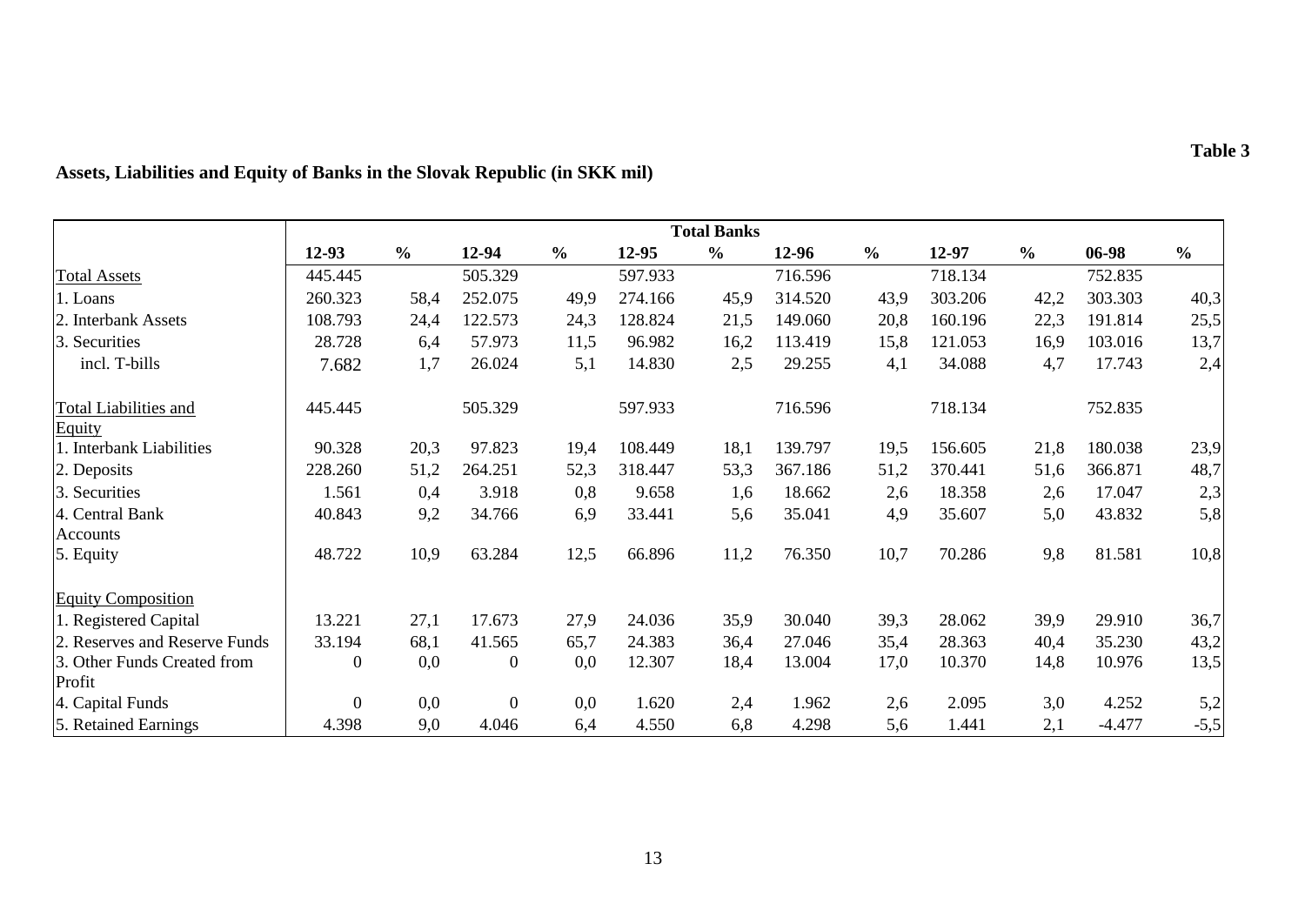|                                        | <b>Total Banks</b> |               |                  |               |         |               |         |               |         |               |          |               |
|----------------------------------------|--------------------|---------------|------------------|---------------|---------|---------------|---------|---------------|---------|---------------|----------|---------------|
|                                        | 12-93              | $\frac{0}{0}$ | 12-94            | $\frac{0}{0}$ | 12-95   | $\frac{0}{0}$ | 12-96   | $\frac{0}{0}$ | 12-97   | $\frac{0}{0}$ | 06-98    | $\frac{0}{0}$ |
| <b>Total Assets</b>                    | 445.445            |               | 505.329          |               | 597.933 |               | 716.596 |               | 718.134 |               | 752.835  |               |
| 1. Loans                               | 260.323            | 58,4          | 252.075          | 49,9          | 274.166 | 45,9          | 314.520 | 43,9          | 303.206 | 42,2          | 303.303  | 40,3          |
| 2. Interbank Assets                    | 108.793            | 24,4          | 122.573          | 24,3          | 128.824 | 21,5          | 149.060 | 20,8          | 160.196 | 22,3          | 191.814  | 25,5          |
| 3. Securities                          | 28.728             | 6,4           | 57.973           | 11,5          | 96.982  | 16,2          | 113.419 | 15,8          | 121.053 | 16,9          | 103.016  | 13,7          |
| incl. T-bills                          | 7.682              | 1,7           | 26.024           | 5,1           | 14.830  | 2,5           | 29.255  | 4,1           | 34.088  | 4,7           | 17.743   | 2,4           |
| <b>Total Liabilities and</b><br>Equity | 445.445            |               | 505.329          |               | 597.933 |               | 716.596 |               | 718.134 |               | 752.835  |               |
| 1. Interbank Liabilities               | 90.328             | 20,3          | 97.823           | 19,4          | 108.449 | 18,1          | 139.797 | 19,5          | 156.605 | 21,8          | 180.038  | 23,9          |
| 2. Deposits                            | 228.260            | 51,2          | 264.251          | 52,3          | 318.447 | 53,3          | 367.186 | 51,2          | 370.441 | 51,6          | 366.871  | 48,7          |
| 3. Securities                          | 1.561              | 0,4           | 3.918            | 0,8           | 9.658   | 1,6           | 18.662  | 2,6           | 18.358  | 2,6           | 17.047   | 2,3           |
| 4. Central Bank                        | 40.843             | 9,2           | 34.766           | 6,9           | 33.441  | 5,6           | 35.041  | 4,9           | 35.607  | 5,0           | 43.832   | 5,8           |
| Accounts                               |                    |               |                  |               |         |               |         |               |         |               |          |               |
| 5. Equity                              | 48.722             | 10,9          | 63.284           | 12,5          | 66.896  | 11,2          | 76.350  | 10,7          | 70.286  | 9,8           | 81.581   | 10,8          |
| <b>Equity Composition</b>              |                    |               |                  |               |         |               |         |               |         |               |          |               |
| 1. Registered Capital                  | 13.221             | 27,1          | 17.673           | 27,9          | 24.036  | 35,9          | 30.040  | 39,3          | 28.062  | 39,9          | 29.910   | 36,7          |
| 2. Reserves and Reserve Funds          | 33.194             | 68,1          | 41.565           | 65,7          | 24.383  | 36,4          | 27.046  | 35,4          | 28.363  | 40,4          | 35.230   | 43,2          |
| 3. Other Funds Created from            | $\boldsymbol{0}$   | 0,0           | $\boldsymbol{0}$ | 0,0           | 12.307  | 18,4          | 13.004  | 17,0          | 10.370  | 14,8          | 10.976   | 13,5          |
| Profit                                 |                    |               |                  |               |         |               |         |               |         |               |          |               |
| 4. Capital Funds                       | $\boldsymbol{0}$   | 0,0           | $\overline{0}$   | 0,0           | 1.620   | 2,4           | 1.962   | 2,6           | 2.095   | 3,0           | 4.252    | 5,2           |
| 5. Retained Earnings                   | 4.398              | 9,0           | 4.046            | 6,4           | 4.550   | 6,8           | 4.298   | 5,6           | 1.441   | 2,1           | $-4.477$ | $-5,5$        |

# **Assets, Liabilities and Equity of Banks in the Slovak Republic (in SKK mil)**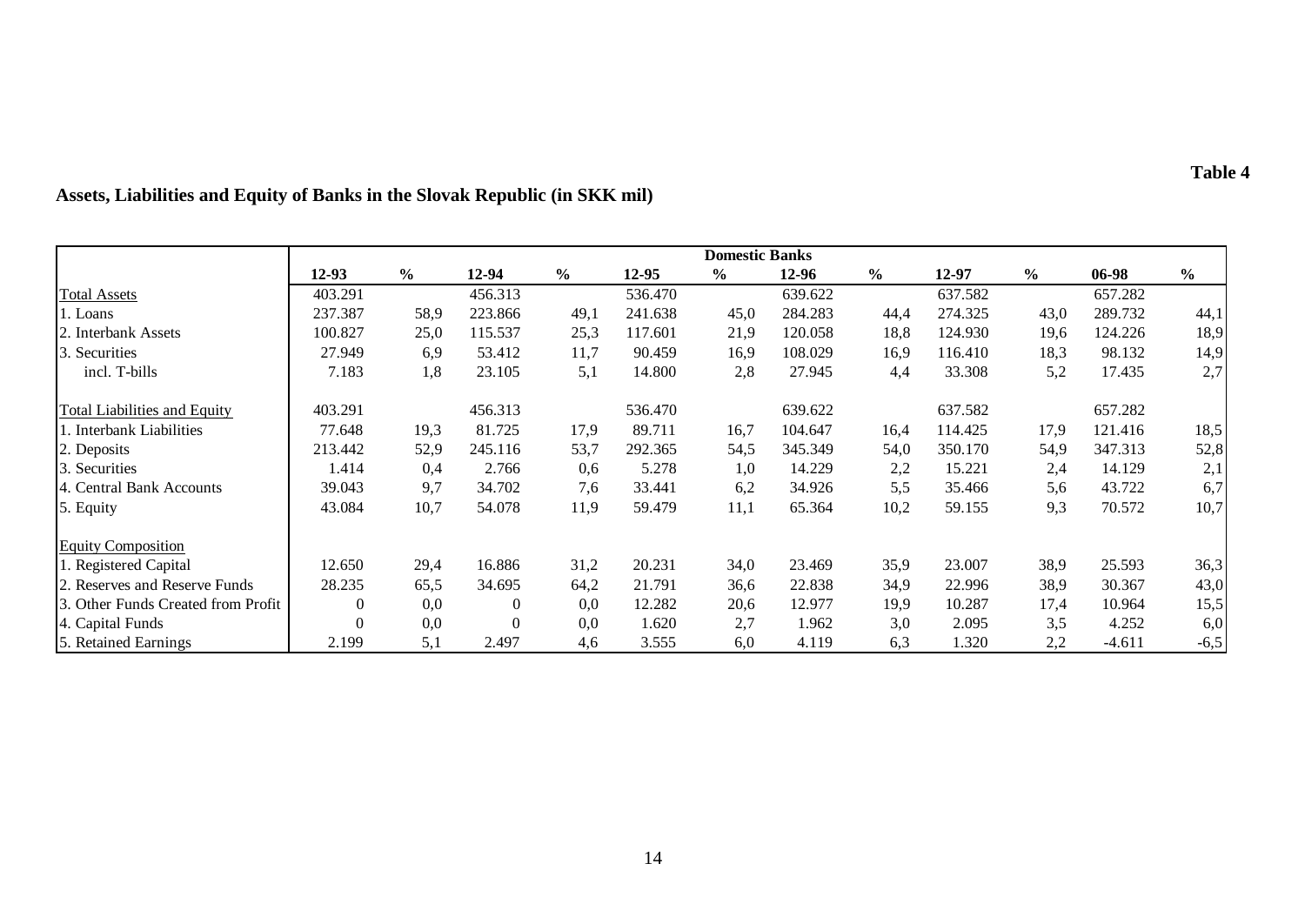|                                     | <b>Domestic Banks</b> |               |          |               |         |               |         |               |         |               |          |               |
|-------------------------------------|-----------------------|---------------|----------|---------------|---------|---------------|---------|---------------|---------|---------------|----------|---------------|
|                                     | $12 - 93$             | $\frac{6}{6}$ | 12-94    | $\frac{0}{0}$ | 12-95   | $\frac{6}{9}$ | 12-96   | $\frac{6}{9}$ | 12-97   | $\frac{1}{2}$ | 06-98    | $\frac{6}{9}$ |
| <b>Total Assets</b>                 | 403.291               |               | 456.313  |               | 536.470 |               | 639.622 |               | 637.582 |               | 657.282  |               |
| 1. Loans                            | 237.387               | 58,9          | 223.866  | 49,1          | 241.638 | 45,0          | 284.283 | 44,4          | 274.325 | 43,0          | 289.732  | 44,1          |
| 2. Interbank Assets                 | 100.827               | 25,0          | 115.537  | 25,3          | 117.601 | 21,9          | 120.058 | 18,8          | 124.930 | 19,6          | 124.226  | 18,9          |
| Securities<br>13.                   | 27.949                | 6,9           | 53.412   | 11,7          | 90.459  | 16,9          | 108.029 | 16,9          | 116.410 | 18,3          | 98.132   | 14,9          |
| incl. T-bills                       | 7.183                 | 1,8           | 23.105   | 5,1           | 14.800  | 2,8           | 27.945  | 4,4           | 33.308  | 5,2           | 17.435   | 2,7           |
| <b>Total Liabilities and Equity</b> | 403.291               |               | 456.313  |               | 536.470 |               | 639.622 |               | 637.582 |               | 657.282  |               |
| 1. Interbank Liabilities            | 77.648                | 19,3          | 81.725   | 17,9          | 89.711  | 16,7          | 104.647 | 16,4          | 114.425 | 17,9          | 121.416  | 18,5          |
| 2. Deposits                         | 213.442               | 52,9          | 245.116  | 53,7          | 292.365 | 54,5          | 345.349 | 54,0          | 350.170 | 54,9          | 347.313  | 52,8          |
| 3. Securities                       | 1.414                 | 0,4           | 2.766    | 0,6           | 5.278   | 1,0           | 14.229  | 2,2           | 15.221  | 2,4           | 14.129   | 2,1           |
| 4. Central Bank Accounts            | 39.043                | 9,7           | 34.702   | 7,6           | 33.441  | 6,2           | 34.926  | 5,5           | 35.466  | 5,6           | 43.722   | 6,7           |
| 5. Equity                           | 43.084                | 10,7          | 54.078   | 11,9          | 59.479  | 11,1          | 65.364  | 10,2          | 59.155  | 9,3           | 70.572   | 10,7          |
| <b>Equity Composition</b>           |                       |               |          |               |         |               |         |               |         |               |          |               |
| 1. Registered Capital               | 12.650                | 29,4          | 16.886   | 31,2          | 20.231  | 34,0          | 23.469  | 35,9          | 23.007  | 38,9          | 25.593   | 36,3          |
| 2. Reserves and Reserve Funds       | 28.235                | 65,5          | 34.695   | 64,2          | 21.791  | 36,6          | 22.838  | 34,9          | 22.996  | 38,9          | 30.367   | 43,0          |
| 3. Other Funds Created from Profit  | $\theta$              | 0,0           | $\Omega$ | 0,0           | 12.282  | 20,6          | 12.977  | 19,9          | 10.287  | 17,4          | 10.964   | 15,5          |
| 4. Capital Funds                    | $\Omega$              | 0,0           | $\Omega$ | 0,0           | 1.620   | 2,7           | 1.962   | 3,0           | 2.095   | 3,5           | 4.252    | 6,0           |
| 5. Retained Earnings                | 2.199                 | 5,1           | 2.497    | 4,6           | 3.555   | 6,0           | 4.119   | 6,3           | 1.320   | 2,2           | $-4.611$ | $-6,5$        |

# **Assets, Liabilities and Equity of Banks in the Slovak Republic (in SKK mil)**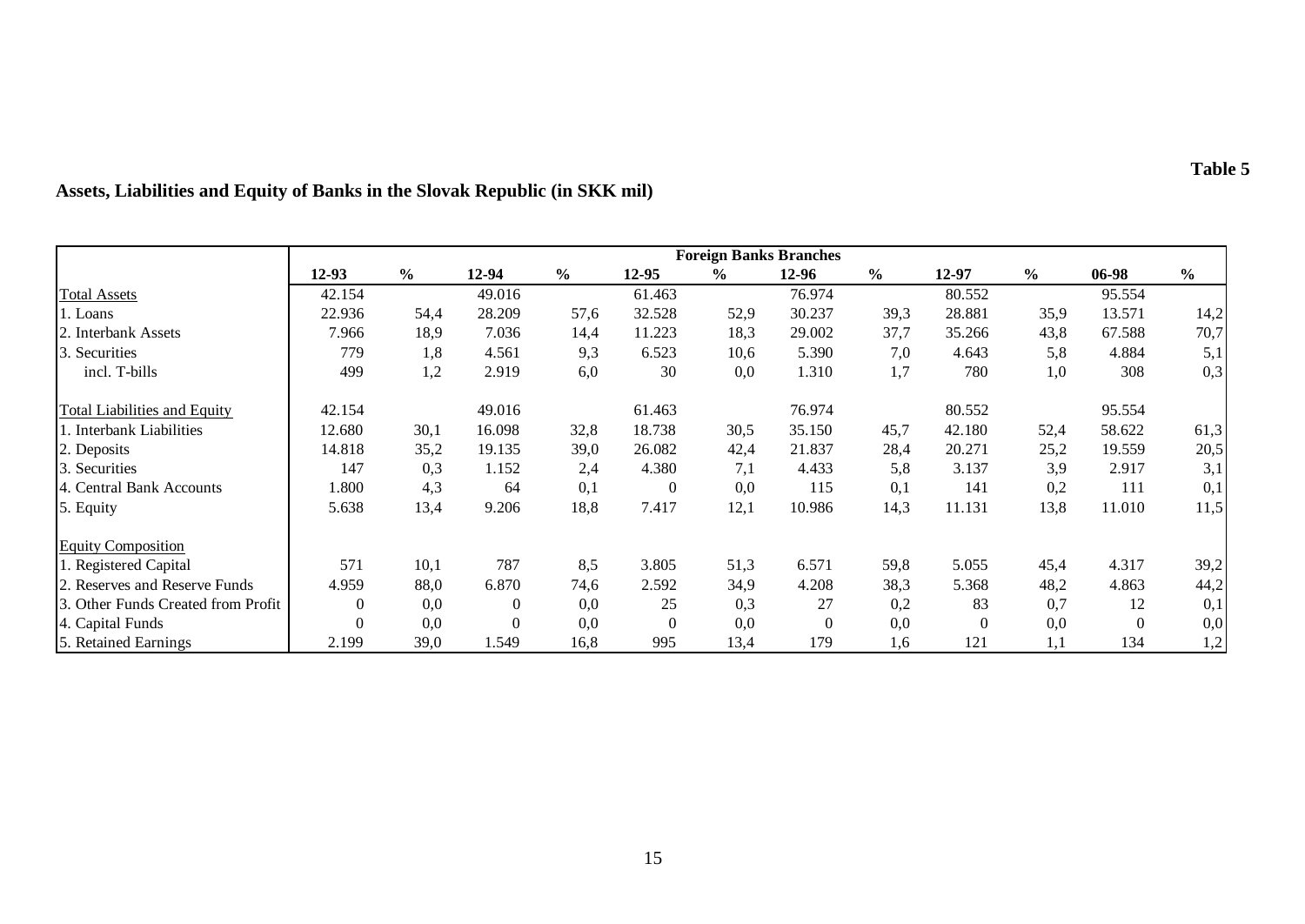|                                     |                | <b>Foreign Banks Branches</b> |              |               |                |               |          |               |          |               |          |               |
|-------------------------------------|----------------|-------------------------------|--------------|---------------|----------------|---------------|----------|---------------|----------|---------------|----------|---------------|
|                                     | $12-93$        | $\frac{6}{6}$                 | $12 - 94$    | $\frac{6}{6}$ | 12-95          | $\frac{6}{9}$ | $12-96$  | $\frac{0}{0}$ | 12-97    | $\frac{0}{0}$ | 06-98    | $\frac{6}{6}$ |
| <b>Total Assets</b>                 | 42.154         |                               | 49.016       |               | 61.463         |               | 76.974   |               | 80.552   |               | 95.554   |               |
| 1. Loans                            | 22.936         | 54,4                          | 28.209       | 57,6          | 32.528         | 52,9          | 30.237   | 39,3          | 28.881   | 35,9          | 13.571   | 14,2          |
| 2. Interbank Assets                 | 7.966          | 18,9                          | 7.036        | 14,4          | 11.223         | 18,3          | 29.002   | 37,7          | 35.266   | 43,8          | 67.588   | 70,7          |
| Securities<br>3.                    | 779            | 1,8                           | 4.561        | 9,3           | 6.523          | 10,6          | 5.390    | 7,0           | 4.643    | 5,8           | 4.884    | 5,1           |
| incl. T-bills                       | 499            | 1,2                           | 2.919        | 6,0           | 30             | 0,0           | 1.310    | 1,7           | 780      | 1,0           | 308      | 0,3           |
| <b>Total Liabilities and Equity</b> | 42.154         |                               | 49.016       |               | 61.463         |               | 76.974   |               | 80.552   |               | 95.554   |               |
| 1. Interbank Liabilities            | 12.680         | 30,1                          | 16.098       | 32,8          | 18.738         | 30,5          | 35.150   | 45,7          | 42.180   | 52,4          | 58.622   | 61,3          |
| 2. Deposits                         | 14.818         | 35,2                          | 19.135       | 39,0          | 26.082         | 42,4          | 21.837   | 28,4          | 20.271   | 25,2          | 19.559   | 20,5          |
| 3. Securities                       | 147            | 0,3                           | 1.152        | 2,4           | 4.380          | 7,1           | 4.433    | 5,8           | 3.137    | 3,9           | 2.917    | 3,1           |
| 4. Central Bank Accounts            | 1.800          | 4,3                           | 64           | 0,1           | $\overline{0}$ | 0,0           | 115      | 0,1           | 141      | 0,2           | 111      | 0,1           |
| 5. Equity                           | 5.638          | 13,4                          | 9.206        | 18,8          | 7.417          | 12,1          | 10.986   | 14,3          | 11.131   | 13,8          | 11.010   | 11,5          |
| <b>Equity Composition</b>           |                |                               |              |               |                |               |          |               |          |               |          |               |
| 1. Registered Capital               | 571            | 10,1                          | 787          | 8,5           | 3.805          | 51,3          | 6.571    | 59,8          | 5.055    | 45,4          | 4.317    | 39,2          |
| 2. Reserves and Reserve Funds       | 4.959          | 88,0                          | 6.870        | 74,6          | 2.592          | 34,9          | 4.208    | 38,3          | 5.368    | 48,2          | 4.863    | 44,2          |
| 3. Other Funds Created from Profit  | $\theta$       | 0,0                           | $\mathbf{0}$ | 0,0           | 25             | 0,3           | 27       | 0,2           | 83       | 0,7           | 12       | 0,1           |
| 4. Capital Funds                    | $\overline{0}$ | 0,0                           | $\theta$     | 0,0           | $\theta$       | 0,0           | $\Omega$ | 0,0           | $\Omega$ | 0,0           | $\theta$ | 0,0           |
| 5. Retained Earnings                | 2.199          | 39,0                          | 1.549        | 16,8          | 995            | 13,4          | 179      | 1,6           | 121      | 1,1           | 134      | 1,2           |

# **Assets, Liabilities and Equity of Banks in the Slovak Republic (in SKK mil)**